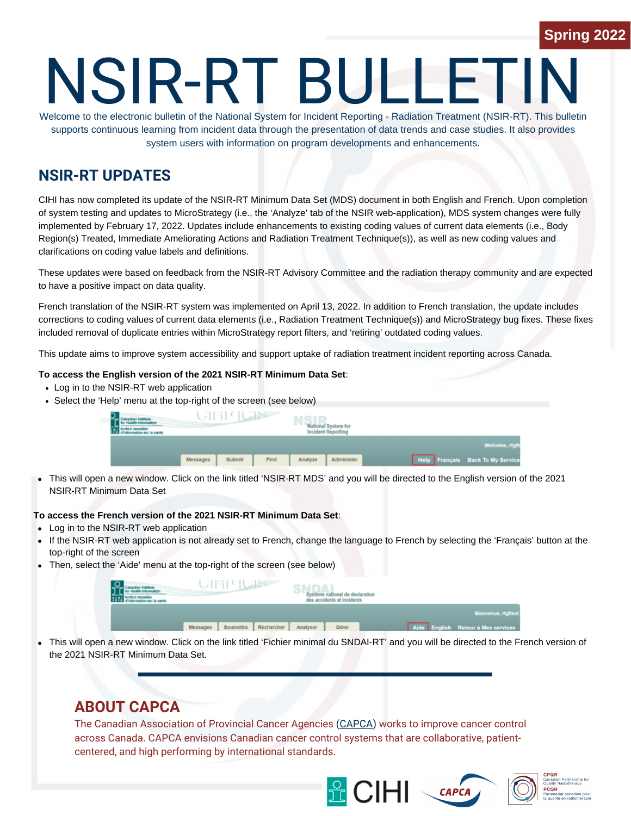# NSIR-RT BULLETI

Welcome to the electronic bulletin of the National System for Incident Reporting - Radiation Treatment (NSIR-RT). This bulletin supports continuous learning from incident data through the presentation of data trends and case studies. It also provides system users with information on program developments and enhancements.

# **NSIR-RT UPDATES**

CIHI has now completed its update of the NSIR-RT Minimum Data Set (MDS) document in both English and French. Upon completion of system testing and updates to MicroStrategy (i.e., the 'Analyze' tab of the NSIR web-application), MDS system changes were fully implemented by February 17, 2022. Updates include enhancements to existing coding values of current data elements (i.e., Body Region(s) Treated, Immediate Ameliorating Actions and Radiation Treatment Technique(s)), as well as new coding values and clarifications on coding value labels and definitions.

These updates were based on feedback from the NSIR-RT Advisory Committee and the radiation therapy community and are expected to have a positive impact on data quality.

French translation of the NSIR-RT system was implemented on April 13, 2022. In addition to French translation, the update includes corrections to coding values of current data elements (i.e., Radiation Treatment Technique(s)) and MicroStrategy bug fixes. These fixes included removal of duplicate entries within MicroStrategy report filters, and 'retiring' outdated coding values.

This update aims to improve system accessibility and support uptake of radiation treatment incident reporting across Canada.

#### **To access the English version of the 2021 NSIR-RT Minimum Data Set**:

- Log in to the NSIR-RT web application
- Select the 'Help' menu at the top-right of the screen (see below)

| UIEE (UISS                 | <b>National System for</b><br><b>Incident Reporting</b> |                                  |
|----------------------------|---------------------------------------------------------|----------------------------------|
|                            |                                                         | Welcome, rtgft                   |
| Submit<br>Find<br>Messages | Administer<br>Analyze                                   | Help Français Back To My Service |

This will open a new window. Click on the link titled 'NSIR-RT MDS' and you will be directed to the English version of the 2021 NSIR-RT Minimum Data Set

#### **To access the French version of the 2021 NSIR-RT Minimum Data Set**:

- Log in to the NSIR-RT web application
- If the NSIR-RT web application is not already set to French, change the language to French by selecting the 'Français' button at the top-right of the screen
- Then, select the 'Aide' menu at the top-right of the screen (see below)

| UIE PERSON                          | Système national de déclaration<br>des accidents et incidents |                                    |
|-------------------------------------|---------------------------------------------------------------|------------------------------------|
|                                     |                                                               | Bienvenue, rtgftest                |
| Soumettre<br>Rechercher<br>Messages | Analyser<br>Gérer                                             | Aide English Retour à Mes services |
|                                     |                                                               |                                    |

 $\bullet$ This will open a new window. Click on the link titled 'Fichier minimal du SNDAI-RT' and you will be directed to the French version of the 2021 NSIR-RT Minimum Data Set.

### **ABOUT CAPCA**

The Canadian Association of Provincial Cancer Agencies ([CAPCA\)](https://capca.ca/) works to improve cancer control across Canada. CAPCA envisions Canadian cancer control systems that are collaborative, patientcentered, and high performing by international standards.





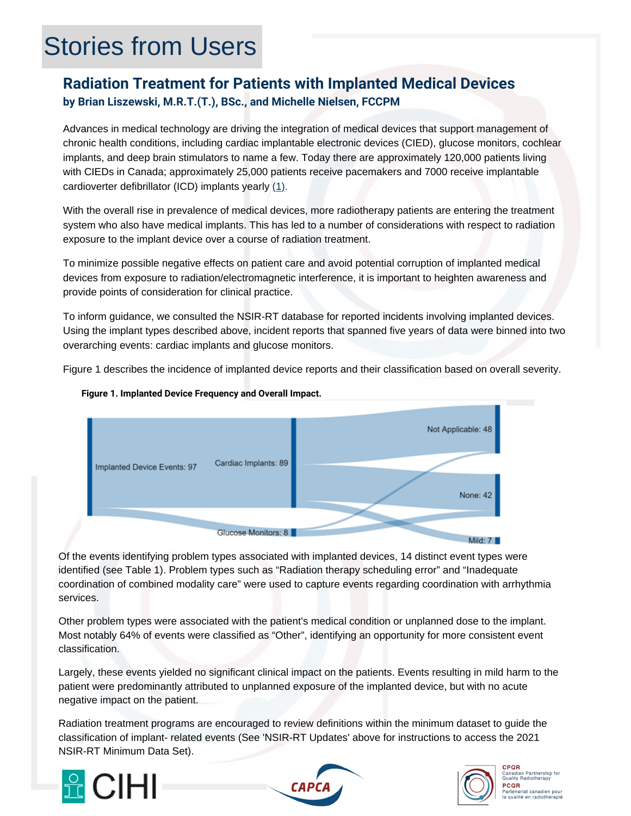# Stories from Users

## **Radiation Treatment for Patients with Implanted Medical Devices by Brian Liszewski, M.R.T.(T.), BSc., and Michelle Nielsen, FCCPM**

Advances in medical technology are driving the integration of medical devices that support management of chronic health conditions, including cardiac implantable electronic devices (CIED), glucose monitors, cochlear implants, and deep brain stimulators to name a few. Today there are approximately 120,000 patients living with CIEDs in Canada; approximately 25,000 patients receive pacemakers and 7000 receive implantable cardioverter defibrillator (ICD) implants yearly  $(1)$ .

With the overall rise in prevalence of medical devices, more radiotherapy patients are entering the treatment system who also have medical implants. This has led to a number of considerations with respect to radiation exposure to the implant device over a course of radiation treatment.

To minimize possible negative effects on patient care and avoid potential corruption of implanted medical devices from exposure to radiation/electromagnetic interference, it is important to heighten awareness and provide points of consideration for clinical practice.

To inform guidance, we consulted the NSIR-RT database for reported incidents involving implanted devices. Using the implant types described above, incident reports that spanned five years of data were binned into two overarching events: cardiac implants and glucose monitors.

Figure 1 describes the incidence of implanted device reports and their classification based on overall severity.



### **Figure 1. Implanted Device Frequency and Overall Impact.**

Of the events identifying problem types associated with implanted devices, 14 distinct event types were identified (see Table 1). Problem types such as "Radiation therapy scheduling error" and "Inadequate coordination of combined modality care" were used to capture events regarding coordination with arrhythmia services.

Other problem types were associated with the patient's medical condition or unplanned dose to the implant. Most notably 64% of events were classified as "Other", identifying an opportunity for more consistent event classification.

Largely, these events yielded no significant clinical impact on the patients. Events resulting in mild harm to the patient were predominantly attributed to unplanned exposure of the implanted device, but with no acute negative impact on the patient.

Radiation treatment programs are encouraged to review definitions within the minimum dataset to guide the classification of implant- related events (See 'NSIR-RT Updates' above for instructions to access the 2021 NSIR-RT Minimum Data Set).







**CPQR Canadian Partnership for**<br>Quality Radiotherapy PCOR ∎<br>ariat canadien pour<br>ité : : : : : : : : : : : :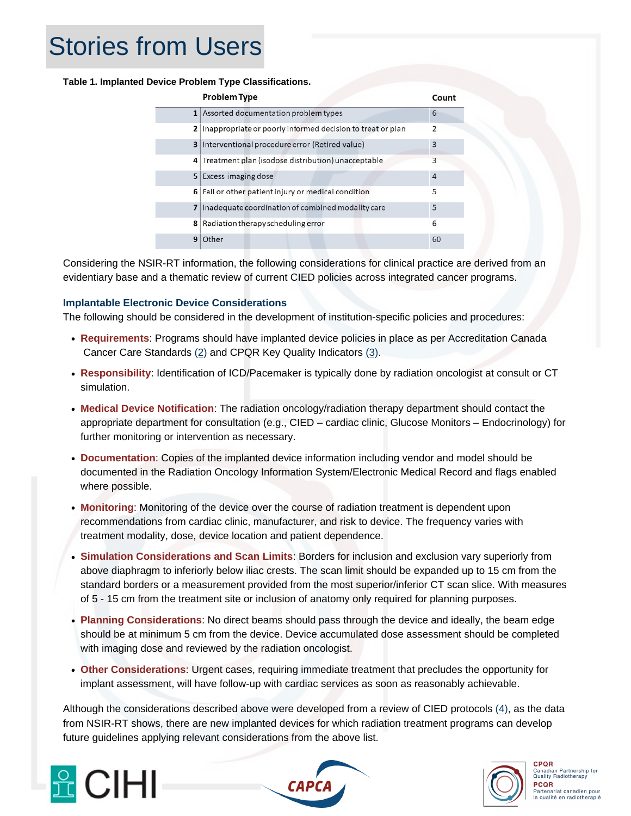# Stories from Users

#### **Table 1. Implanted Device Problem Type Classifications.**

|   | <b>Problem Type</b>                                            | Count          |
|---|----------------------------------------------------------------|----------------|
|   | 1 Assorted documentation problem types                         | 6              |
|   | 2   Inappropriate or poorly informed decision to treat or plan | $\overline{2}$ |
|   | 3 Interventional procedure error (Retired value)               | 3              |
|   | 4 Treatment plan (isodose distribution) unacceptable           | 3              |
|   | 5 Excess imaging dose                                          | $\overline{4}$ |
|   | 6 Fall or other patient injury or medical condition            | 5              |
| 7 | Inadequate coordination of combined modality care              | 5              |
|   | 8 Radiation therapy scheduling error                           | 6              |
| 9 | Other                                                          | 60             |

Considering the NSIR-RT information, the following considerations for clinical practice are derived from an evidentiary base and a thematic review of current CIED policies across integrated cancer programs.

### **Implantable Electronic Device Considerations**

The following should be considered in the development of institution-specific policies and procedures:

- **Requirements**: Programs should have implanted device policies in place as per Accreditation Canada Cancer Care Standards [\(2\)](https://www.cjcopen.ca/article/S2589-790X(20)30198-0/fulltext#relatedArticles) and CPQR Key Quality Indicators [\(3\)](https://www.cpqr.ca/wp-content/uploads/2020/03/QRT2019-12-04.pdf).
- **Responsibility**: Identification of ICD/Pacemaker is typically done by radiation oncologist at consult or CT simulation.
- **Medical Device Notification**: The radiation oncology/radiation therapy department should contact the appropriate department for consultation (e.g., CIED – cardiac clinic, Glucose Monitors – Endocrinology) for further monitoring or intervention as necessary.
- **Documentation**: Copies of the implanted device information including vendor and model should be documented in the Radiation Oncology Information System/Electronic Medical Record and flags enabled where possible.
- **Monitoring**: Monitoring of the device over the course of radiation treatment is dependent upon recommendations from cardiac clinic, manufacturer, and risk to device. The frequency varies with treatment modality, dose, device location and patient dependence.
- **Simulation Considerations and Scan Limits**: Borders for inclusion and exclusion vary superiorly from above diaphragm to inferiorly below iliac crests. The scan limit should be expanded up to 15 cm from the standard borders or a measurement provided from the most superior/inferior CT scan slice. With measures of 5 - 15 cm from the treatment site or inclusion of anatomy only required for planning purposes.
- **Planning Considerations**: No direct beams should pass through the device and ideally, the beam edge should be at minimum 5 cm from the device. Device accumulated dose assessment should be completed with imaging dose and reviewed by the radiation oncologist.
- **Other Considerations**: Urgent cases, requiring immediate treatment that precludes the opportunity for implant assessment, will have follow-up with cardiac services as soon as reasonably achievable.

Although the considerations described above were developed from a review of CIED protocols [\(4\)](https://aapm.onlinelibrary.wiley.com/doi/10.1002/mp.13838), as the data from NSIR-RT shows, there are new implanted devices for which radiation treatment programs can develop future guidelines applying relevant considerations from the above list.